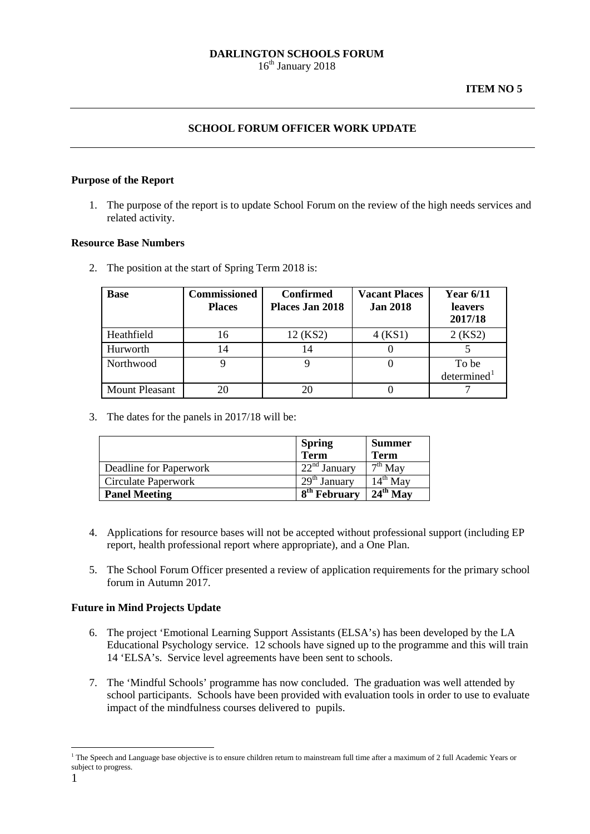## **SCHOOL FORUM OFFICER WORK UPDATE**

### **Purpose of the Report**

1. The purpose of the report is to update School Forum on the review of the high needs services and related activity.

### **Resource Base Numbers**

2. The position at the start of Spring Term 2018 is:

| <b>Base</b>           | <b>Commissioned</b><br><b>Places</b> | <b>Confirmed</b><br>Places Jan 2018 | <b>Vacant Places</b><br><b>Jan 2018</b> | <b>Year 6/11</b><br><b>leavers</b><br>2017/18 |
|-----------------------|--------------------------------------|-------------------------------------|-----------------------------------------|-----------------------------------------------|
| Heathfield            | 16                                   | 12 (KS2)                            | 4(KS1)                                  | 2(KS2)                                        |
| Hurworth              | 14                                   | 14                                  |                                         |                                               |
| Northwood             |                                      |                                     |                                         | To be<br>determined <sup>1</sup>              |
| <b>Mount Pleasant</b> |                                      | 20                                  |                                         |                                               |

3. The dates for the panels in 2017/18 will be:

|                        | <b>Spring</b><br><b>Term</b>          | <b>Summer</b><br><b>Term</b>             |
|------------------------|---------------------------------------|------------------------------------------|
| Deadline for Paperwork | $\overline{22}^{\text{nd}}$ January   | $\overline{\phantom{a}}^{\text{th}}$ Mav |
| Circulate Paperwork    | $\overline{29}$ <sup>th</sup> January | 14 <sup>th</sup> Mav                     |
| <b>Panel Meeting</b>   | $\overline{8}^{\text{th}}$ February   | $24th$ May                               |

- 4. Applications for resource bases will not be accepted without professional support (including EP report, health professional report where appropriate), and a One Plan.
- 5. The School Forum Officer presented a review of application requirements for the primary school forum in Autumn 2017.

# **Future in Mind Projects Update**

- 6. The project 'Emotional Learning Support Assistants (ELSA's) has been developed by the LA Educational Psychology service. 12 schools have signed up to the programme and this will train 14 'ELSA's. Service level agreements have been sent to schools.
- 7. The 'Mindful Schools' programme has now concluded. The graduation was well attended by school participants. Schools have been provided with evaluation tools in order to use to evaluate impact of the mindfulness courses delivered to pupils.

-

<span id="page-0-0"></span><sup>&</sup>lt;sup>1</sup> The Speech and Language base objective is to ensure children return to mainstream full time after a maximum of 2 full Academic Years or subject to progress.